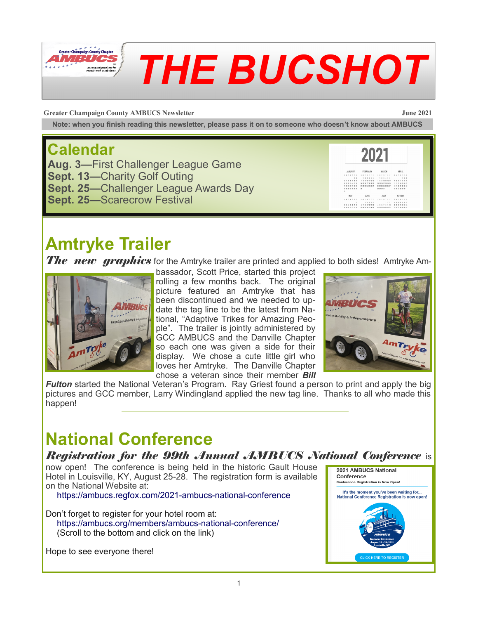

# *THE BUCSHOT*

**Greater Champaign County AMBUCS Newsletter June 2021**

**Note: when you finish reading this newsletter, please pass it on to someone who doesn't know about AMBUCS**

#### **Calendar**

**Aug. 3—**First Challenger League Game **Sept. 13—**Charity Golf Outing **Sept. 25—**Challenger League Awards Day **Sept. 25—**Scarecrow Festival



#### **Amtryke Trailer**

*The new graphics* for the Amtryke trailer are printed and applied to both sides! Amtryke Am-



bassador, Scott Price, started this project rolling a few months back. The original picture featured an Amtryke that has been discontinued and we needed to update the tag line to be the latest from National, "Adaptive Trikes for Amazing People". The trailer is jointly administered by GCC AMBUCS and the Danville Chapter so each one was given a side for their display. We chose a cute little girl who loves her Amtryke. The Danville Chapter chose a veteran since their member *Bill* 



*Fulton* started the National Veteran's Program. Ray Griest found a person to print and apply the big pictures and GCC member, Larry Windingland applied the new tag line. Thanks to all who made this happen!

### **National Conference**

#### *Registration for the 99th Annual AMBUCS National Conference* is

now open! The conference is being held in the historic Gault House Hotel in Louisville, KY, August 25-28. The registration form is available on the National Website at:

https://ambucs.regfox.com/2021-ambucs-national-conference

Don't forget to register for your hotel room at: https://ambucs.org/members/ambucs-national-conference/ (Scroll to the bottom and click on the link)

Hope to see everyone there!

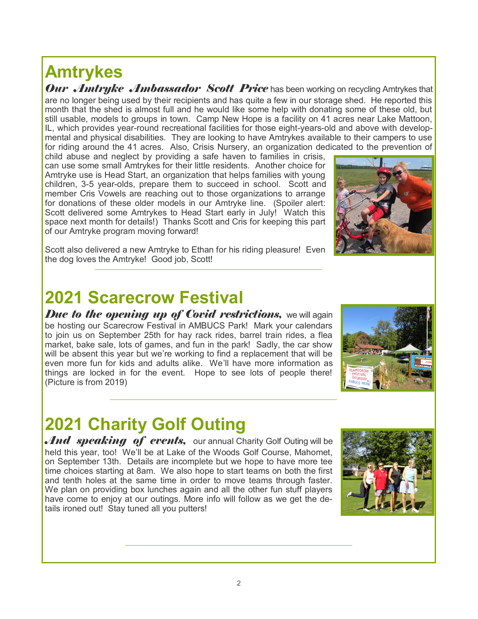#### **Amtrykes**

*Our Amtryke Ambassador Scott Price* has been working on recycling Amtrykes that are no longer being used by their recipients and has quite a few in our storage shed. He reported this month that the shed is almost full and he would like some help with donating some of these old, but still usable, models to groups in town. Camp New Hope is a facility on 41 acres near Lake Mattoon, IL, which provides year-round recreational facilities for those eight-years-old and above with developmental and physical disabilities. They are looking to have Amtrykes available to their campers to use for riding around the 41 acres. Also, Crisis Nursery, an organization dedicated to the prevention of

child abuse and neglect by providing a safe haven to families in crisis, can use some small Amtrykes for their little residents. Another choice for Amtryke use is Head Start, an organization that helps families with young children, 3-5 year-olds, prepare them to succeed in school. Scott and member Cris Vowels are reaching out to those organizations to arrange for donations of these older models in our Amtryke line. (Spoiler alert: Scott delivered some Amtrykes to Head Start early in July! Watch this space next month for details!) Thanks Scott and Cris for keeping this part of our Amtryke program moving forward!

Scott also delivered a new Amtryke to Ethan for his riding pleasure! Even the dog loves the Amtryke! Good job, Scott!

#### **2021 Scarecrow Festival**

*Due to the opening up of Covid restrictions, we will again* be hosting our Scarecrow Festival in AMBUCS Park! Mark your calendars to join us on September 25th for hay rack rides, barrel train rides, a flea market, bake sale, lots of games, and fun in the park! Sadly, the car show will be absent this year but we're working to find a replacement that will be even more fun for kids and adults alike. We'll have more information as things are locked in for the event. Hope to see lots of people there! (Picture is from 2019)

### **2021 Charity Golf Outing**

And speaking of events, our annual Charity Golf Outing will be held this year, too! We'll be at Lake of the Woods Golf Course, Mahomet, on September 13th. Details are incomplete but we hope to have more tee time choices starting at 8am. We also hope to start teams on both the first and tenth holes at the same time in order to move teams through faster. We plan on providing box lunches again and all the other fun stuff players have come to enjoy at our outings. More info will follow as we get the details ironed out! Stay tuned all you putters!